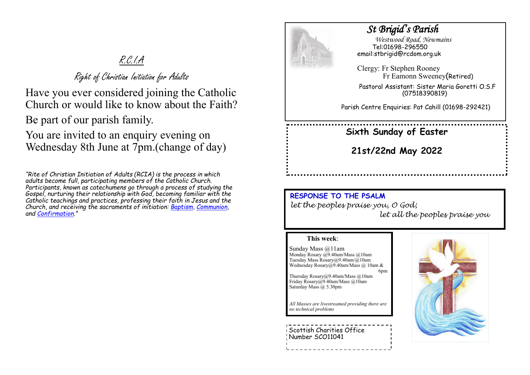# R.C.I.A

Right of Christian Initiation for Adults

Have you ever considered joining the Catholic Church or would like to know about the Faith?

Be part of our parish family.

You are invited to an enquiry evening on Wednesday 8th June at 7pm.(change of day)

*"Rite of Christian Initiation of Adults (RCIA) is the process in which adults become full, participating members of the Catholic Church. Participants, known as catechumens go through a process of studying the Gospel, nurturing their relationship with God, becoming familiar with the Catholic teachings and practices, professing their faith in Jesus and the Church, and receiving the sacraments of initiation: [Baptism,](https://www.catholicfaithstore.com/daily-bread/early-teachings-infant-baptism/) [Communion,](https://www.catholicfaithstore.com/daily-bread/eight-gift-ideas-for-first-communion/)  and [Confirmation](https://www.catholicfaithstore.com/daily-bread/7-best-gifts-one-receives-confirmation/)."* 



## *St Brigid's Parish*

 *Westwood Road, Newmains* Tel:01698-296550 email:stbrigid@rcdom.org.uk

Clergy: Fr Stephen Rooney Fr Eamonn Sweeney(Retired)

Pastoral Assistant: Sister Maria Goretti O.S.F (07518390819)

Parish Centre Enquiries: Pat Cahill (01698-292421)

**Sixth Sunday of Easter** 

**21st/22nd May 2022**

**RESPONSE TO THE PSALM**  *let the peoples praise you, O God; let all the peoples praise you*

6pm

#### **This week**:

Sunday Mass @11am Monday Rosary @9.40am/Mass @10am Tuesday Mass Rosary@9.40am/@10am Wednesday Rosary@9.40am/Mass @ 10am &

Thursday Rosary@9.40am/Mass @10am Friday Rosary@9.40am/Mass @10am Saturday Mass @ 5.30pm

*All Masses are livestreamed providing there are no technical problems*

Scottish Charities Office Number SCO11041